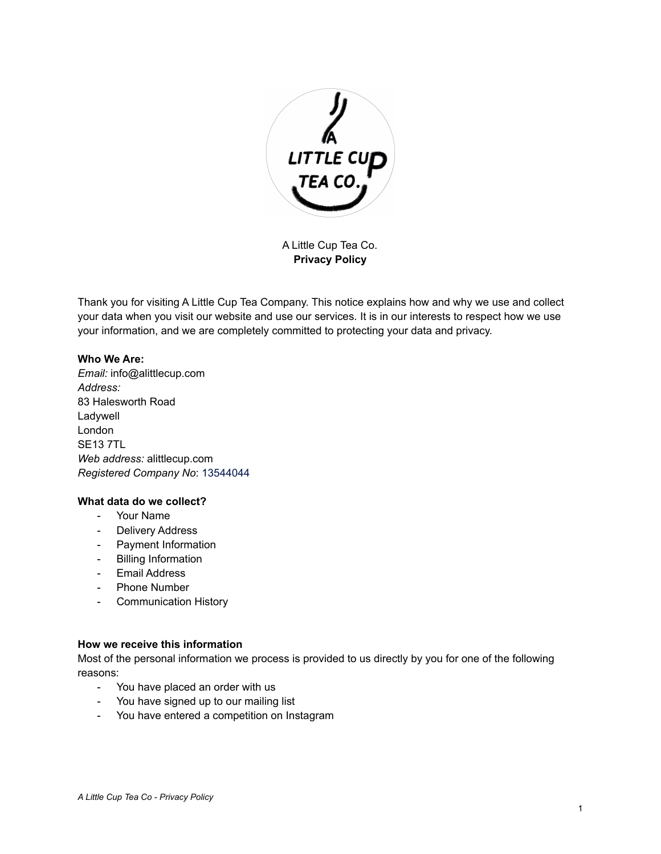

A Little Cup Tea Co. **Privacy Policy**

Thank you for visiting A Little Cup Tea Company. This notice explains how and why we use and collect your data when you visit our website and use our services. It is in our interests to respect how we use your information, and we are completely committed to protecting your data and privacy.

## **Who We Are:**

*Email:* info@alittlecup.com *Address:* 83 Halesworth Road Ladywell London SE13 7TL *Web address:* alittlecup.com *Registered Company No*: 13544044

## **What data do we collect?**

- Your Name
- Delivery Address
- Payment Information
- Billing Information
- Email Address
- Phone Number
- Communication History

## **How we receive this information**

Most of the personal information we process is provided to us directly by you for one of the following reasons:

- You have placed an order with us
- You have signed up to our mailing list
- You have entered a competition on Instagram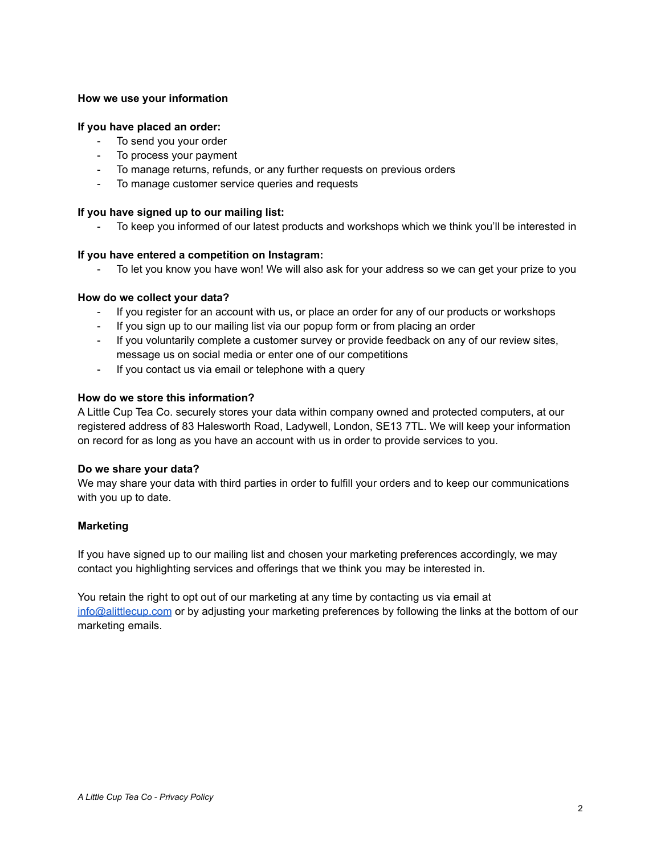## **How we use your information**

## **If you have placed an order:**

- To send you your order
- To process your payment
- To manage returns, refunds, or any further requests on previous orders
- To manage customer service queries and requests

## **If you have signed up to our mailing list:**

To keep you informed of our latest products and workshops which we think you'll be interested in

## **If you have entered a competition on Instagram:**

To let you know you have won! We will also ask for your address so we can get your prize to you

## **How do we collect your data?**

- If you register for an account with us, or place an order for any of our products or workshops
- If you sign up to our mailing list via our popup form or from placing an order
- If you voluntarily complete a customer survey or provide feedback on any of our review sites, message us on social media or enter one of our competitions
- If you contact us via email or telephone with a query

## **How do we store this information?**

A Little Cup Tea Co. securely stores your data within company owned and protected computers, at our registered address of 83 Halesworth Road, Ladywell, London, SE13 7TL. We will keep your information on record for as long as you have an account with us in order to provide services to you.

## **Do we share your data?**

We may share your data with third parties in order to fulfill your orders and to keep our communications with you up to date.

## **Marketing**

If you have signed up to our mailing list and chosen your marketing preferences accordingly, we may contact you highlighting services and offerings that we think you may be interested in.

You retain the right to opt out of our marketing at any time by contacting us via email at [info@alittlecup.com](mailto:info@alittlecup.com) or by adjusting your marketing preferences by following the links at the bottom of our marketing emails.